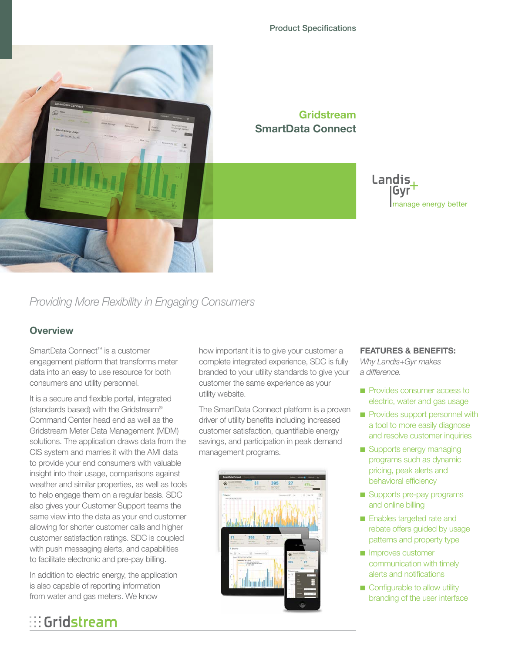

### **Gridstream SmartData Connect**

### Landis, Gvr manage energy better

# *Providing More Flexibility in Engaging Consumers*

### **Overview**

SmartData Connect™ is a customer engagement platform that transforms meter data into an easy to use resource for both consumers and utility personnel.

It is a secure and flexible portal, integrated (standards based) with the Gridstream® Command Center head end as well as the Gridstream Meter Data Management (MDM) solutions. The application draws data from the CIS system and marries it with the AMI data to provide your end consumers with valuable insight into their usage, comparisons against weather and similar properties, as well as tools to help engage them on a regular basis. SDC also gives your Customer Support teams the same view into the data as your end customer allowing for shorter customer calls and higher customer satisfaction ratings. SDC is coupled with push messaging alerts, and capabilities to facilitate electronic and pre-pay billing.

In addition to electric energy, the application is also capable of reporting information from water and gas meters. We know

# $\mathbb{H}$  Gridstream

how important it is to give your customer a complete integrated experience, SDC is fully branded to your utility standards to give your customer the same experience as your utility website.

The SmartData Connect platform is a proven driver of utility benefits including increased customer satisfaction, quantifiable energy savings, and participation in peak demand management programs.



### **FEATURES & BENEFITS:**

*Why Landis+Gyr makes a difference.*

- Provides consumer access to electric, water and gas usage
- Provides support personnel with a tool to more easily diagnose and resolve customer inquiries
- Supports energy managing programs such as dynamic pricing, peak alerts and behavioral efficiency
- Supports pre-pay programs and online billing
- Enables targeted rate and rebate offers guided by usage patterns and property type
- Improves customer communication with timely alerts and notifications
- Configurable to allow utility branding of the user interface